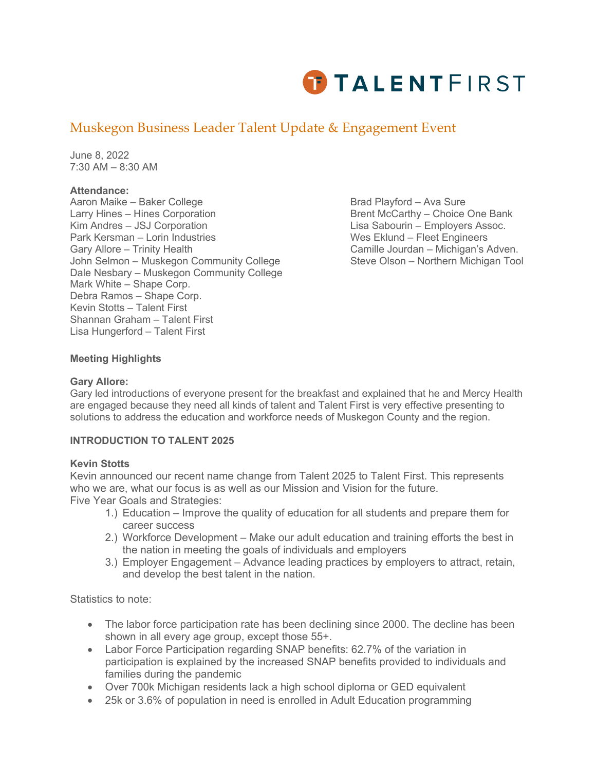

# Muskegon Business Leader Talent Update & Engagement Event

June 8, 2022 7:30 AM – 8:30 AM

### **Attendance:**

Aaron Maike – Baker College Brad Playford – Ava Sure Larry Hines – Hines Corporation **Brent McCarthy – Choice One Bank** Kim Andres – JSJ Corporation Lisa Sabourin – Employers Assoc. Park Kersman – Lorin Industries Wes Eklund – Fleet Engineers Gary Allore – Trinity Health **Camille Jourdan – Michigan's Adven.** John Selmon – Muskegon Community College Steve Olson – Northern Michigan Tool Dale Nesbary – Muskegon Community College Mark White – Shape Corp. Debra Ramos – Shape Corp. Kevin Stotts – Talent First Shannan Graham – Talent First Lisa Hungerford – Talent First

# **Meeting Highlights**

#### **Gary Allore:**

Gary led introductions of everyone present for the breakfast and explained that he and Mercy Health are engaged because they need all kinds of talent and Talent First is very effective presenting to solutions to address the education and workforce needs of Muskegon County and the region.

#### **INTRODUCTION TO TALENT 2025**

#### **Kevin Stotts**

Kevin announced our recent name change from Talent 2025 to Talent First. This represents who we are, what our focus is as well as our Mission and Vision for the future. Five Year Goals and Strategies:

- 1.) Education Improve the quality of education for all students and prepare them for career success
- 2.) Workforce Development Make our adult education and training efforts the best in the nation in meeting the goals of individuals and employers
- 3.) Employer Engagement Advance leading practices by employers to attract, retain, and develop the best talent in the nation.

Statistics to note:

- The labor force participation rate has been declining since 2000. The decline has been shown in all every age group, except those 55+.
- Labor Force Participation regarding SNAP benefits: 62.7% of the variation in participation is explained by the increased SNAP benefits provided to individuals and families during the pandemic
- Over 700k Michigan residents lack a high school diploma or GED equivalent
- 25k or 3.6% of population in need is enrolled in Adult Education programming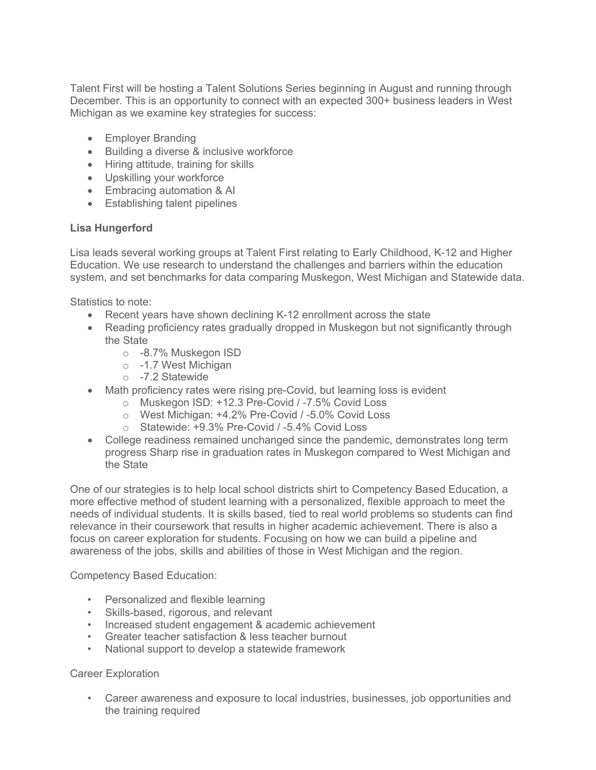Talent First will be hosting a Talent Solutions Series beginning in August and running through December. This is an opportunity to connect with an expected 300+ business leaders in West Michigan as we examine key strategies for success:

- Employer Branding
- Building a diverse & inclusive workforce
- Hiring attitude, training for skills
- Upskilling your workforce
- Embracing automation & AI
- Establishing talent pipelines

## **Lisa Hungerford**

Lisa leads several working groups at Talent First relating to Early Childhood, K-12 and Higher Education. We use research to understand the challenges and barriers within the education system, and set benchmarks for data comparing Muskegon, West Michigan and Statewide data.

Statistics to note:

- Recent years have shown declining K-12 enrollment across the state
- Reading proficiency rates gradually dropped in Muskegon but not significantly through the State
	- o -8.7% Muskegon ISD
	- o -1.7 West Michigan
	- o -7.2 Statewide
- Math proficiency rates were rising pre-Covid, but learning loss is evident
	- o Muskegon ISD: +12.3 Pre-Covid / -7.5% Covid Loss
	- o West Michigan: +4.2% Pre-Covid / -5.0% Covid Loss
	- o Statewide: +9.3% Pre-Covid / -5.4% Covid Loss
- College readiness remained unchanged since the pandemic, demonstrates long term progress Sharp rise in graduation rates in Muskegon compared to West Michigan and the State

One of our strategies is to help local school districts shirt to Competency Based Education, a more effective method of student learning with a personalized, flexible approach to meet the needs of individual students. It is skills based, tied to real world problems so students can find relevance in their coursework that results in higher academic achievement. There is also a focus on career exploration for students. Focusing on how we can build a pipeline and awareness of the jobs, skills and abilities of those in West Michigan and the region.

Competency Based Education:

- Personalized and flexible learning
- Skills-based, rigorous, and relevant
- Increased student engagement & academic achievement
- Greater teacher satisfaction & less teacher burnout
- National support to develop a statewide framework

#### Career Exploration

• Career awareness and exposure to local industries, businesses, job opportunities and the training required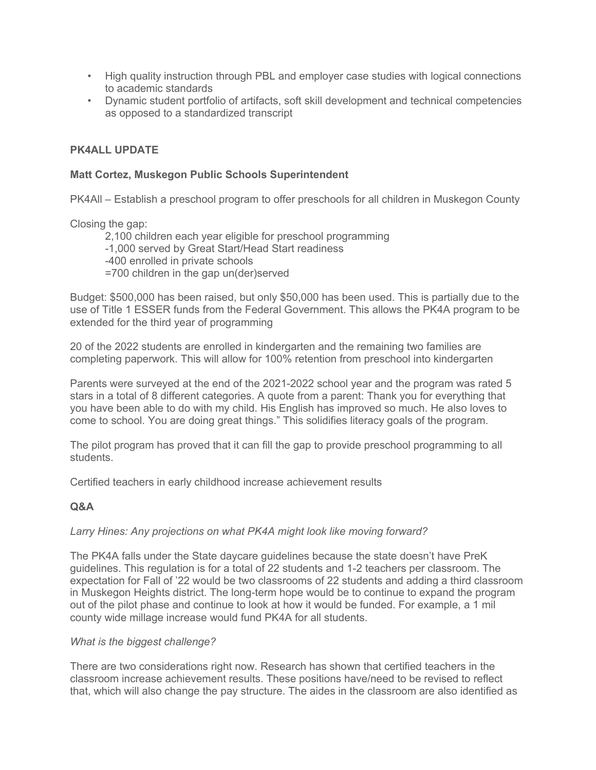- High quality instruction through PBL and employer case studies with logical connections to academic standards
- Dynamic student portfolio of artifacts, soft skill development and technical competencies as opposed to a standardized transcript

# **PK4ALL UPDATE**

## **Matt Cortez, Muskegon Public Schools Superintendent**

PK4All – Establish a preschool program to offer preschools for all children in Muskegon County

Closing the gap:

2,100 children each year eligible for preschool programming

- -1,000 served by Great Start/Head Start readiness
- -400 enrolled in private schools
- =700 children in the gap un(der)served

Budget: \$500,000 has been raised, but only \$50,000 has been used. This is partially due to the use of Title 1 ESSER funds from the Federal Government. This allows the PK4A program to be extended for the third year of programming

20 of the 2022 students are enrolled in kindergarten and the remaining two families are completing paperwork. This will allow for 100% retention from preschool into kindergarten

Parents were surveyed at the end of the 2021-2022 school year and the program was rated 5 stars in a total of 8 different categories. A quote from a parent: Thank you for everything that you have been able to do with my child. His English has improved so much. He also loves to come to school. You are doing great things." This solidifies literacy goals of the program.

The pilot program has proved that it can fill the gap to provide preschool programming to all students.

Certified teachers in early childhood increase achievement results

# **Q&A**

# *Larry Hines: Any projections on what PK4A might look like moving forward?*

The PK4A falls under the State daycare guidelines because the state doesn't have PreK guidelines. This regulation is for a total of 22 students and 1-2 teachers per classroom. The expectation for Fall of '22 would be two classrooms of 22 students and adding a third classroom in Muskegon Heights district. The long-term hope would be to continue to expand the program out of the pilot phase and continue to look at how it would be funded. For example, a 1 mil county wide millage increase would fund PK4A for all students.

# *What is the biggest challenge?*

There are two considerations right now. Research has shown that certified teachers in the classroom increase achievement results. These positions have/need to be revised to reflect that, which will also change the pay structure. The aides in the classroom are also identified as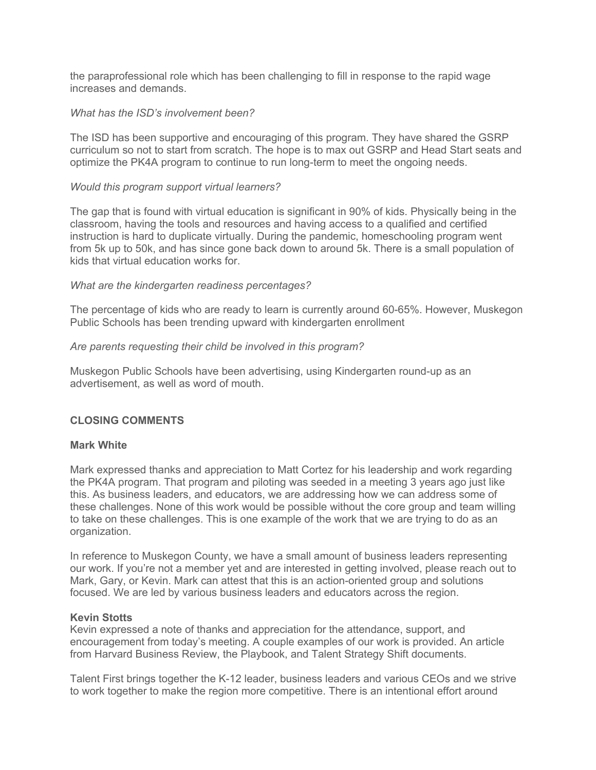the paraprofessional role which has been challenging to fill in response to the rapid wage increases and demands.

## *What has the ISD's involvement been?*

The ISD has been supportive and encouraging of this program. They have shared the GSRP curriculum so not to start from scratch. The hope is to max out GSRP and Head Start seats and optimize the PK4A program to continue to run long-term to meet the ongoing needs.

## *Would this program support virtual learners?*

The gap that is found with virtual education is significant in 90% of kids. Physically being in the classroom, having the tools and resources and having access to a qualified and certified instruction is hard to duplicate virtually. During the pandemic, homeschooling program went from 5k up to 50k, and has since gone back down to around 5k. There is a small population of kids that virtual education works for.

## *What are the kindergarten readiness percentages?*

The percentage of kids who are ready to learn is currently around 60-65%. However, Muskegon Public Schools has been trending upward with kindergarten enrollment

## *Are parents requesting their child be involved in this program?*

Muskegon Public Schools have been advertising, using Kindergarten round-up as an advertisement, as well as word of mouth.

# **CLOSING COMMENTS**

### **Mark White**

Mark expressed thanks and appreciation to Matt Cortez for his leadership and work regarding the PK4A program. That program and piloting was seeded in a meeting 3 years ago just like this. As business leaders, and educators, we are addressing how we can address some of these challenges. None of this work would be possible without the core group and team willing to take on these challenges. This is one example of the work that we are trying to do as an organization.

In reference to Muskegon County, we have a small amount of business leaders representing our work. If you're not a member yet and are interested in getting involved, please reach out to Mark, Gary, or Kevin. Mark can attest that this is an action-oriented group and solutions focused. We are led by various business leaders and educators across the region.

#### **Kevin Stotts**

Kevin expressed a note of thanks and appreciation for the attendance, support, and encouragement from today's meeting. A couple examples of our work is provided. An article from Harvard Business Review, the Playbook, and Talent Strategy Shift documents.

Talent First brings together the K-12 leader, business leaders and various CEOs and we strive to work together to make the region more competitive. There is an intentional effort around